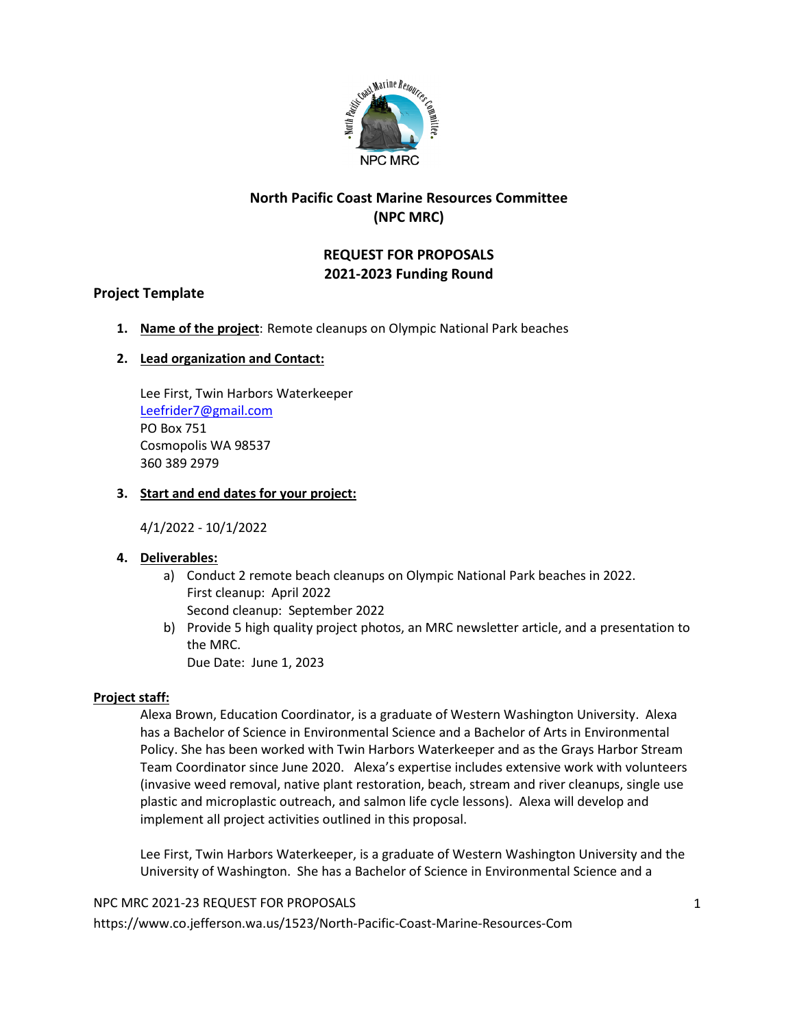

## **North Pacific Coast Marine Resources Committee (NPC MRC)**

## **REQUEST FOR PROPOSALS 2021-2023 Funding Round**

## **Project Template**

**1. Name of the project**: Remote cleanups on Olympic National Park beaches

## **2. Lead organization and Contact:**

Lee First, Twin Harbors Waterkeeper [Leefrider7@gmail.com](mailto:Leefrider7@gmail.com)  PO Box 751 Cosmopolis WA 98537 360 389 2979

## **3. Start and end dates for your project:**

4/1/2022 - 10/1/2022

## **4. Deliverables:**

- a) Conduct 2 remote beach cleanups on Olympic National Park beaches in 2022. First cleanup: April 2022 Second cleanup: September 2022
- b) Provide 5 high quality project photos, an MRC newsletter article, and a presentation to the MRC. Due Date: June 1, 2023

## **Project staff:**

Alexa Brown, Education Coordinator, is a graduate of Western Washington University. Alexa has a Bachelor of Science in Environmental Science and a Bachelor of Arts in Environmental Policy. She has been worked with Twin Harbors Waterkeeper and as the Grays Harbor Stream Team Coordinator since June 2020. Alexa's expertise includes extensive work with volunteers (invasive weed removal, native plant restoration, beach, stream and river cleanups, single use plastic and microplastic outreach, and salmon life cycle lessons). Alexa will develop and implement all project activities outlined in this proposal.

Lee First, Twin Harbors Waterkeeper, is a graduate of Western Washington University and the University of Washington. She has a Bachelor of Science in Environmental Science and a

NPC MRC 2021-23 REQUEST FOR PROPOSALS https://www.co.jefferson.wa.us/1523/North-Pacific-Coast-Marine-Resources-Com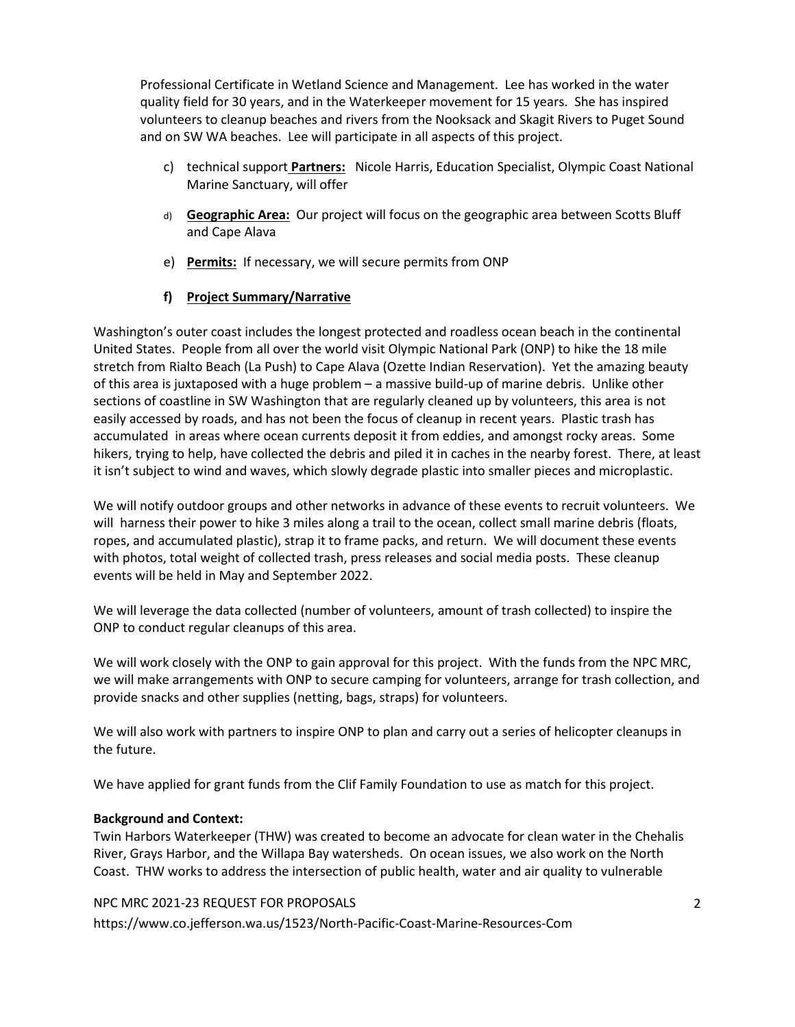Professional Certificate in Wetland Science and Management. Lee has worked in the water quality field for 30 years, and in the Waterkeeper movement for 15 years. She has inspired volunteers to cleanup beaches and rivers from the Nooksack and Skagit Rivers to Puget Sound and on SW WA beaches. Lee will participate in all aspects of this project.

- c) technical support **Partners:** Nicole Harris, Education Specialist, Olympic Coast National Marine Sanctuary, will offer
- d) **Geographic Area:** Our project will focus on the geographic area between Scotts Bluff and Cape Alava
- e) **Permits:** If necessary, we will secure permits from ONP

## **f) Project Summary/Narrative**

Washington's outer coast includes the longest protected and roadless ocean beach in the continental United States. People from all over the world visit Olympic National Park (ONP) to hike the 18 mile stretch from Rialto Beach (La Push) to Cape Alava (Ozette Indian Reservation). Yet the amazing beauty of this area is juxtaposed with a huge problem – a massive build-up of marine debris. Unlike other sections of coastline in SW Washington that are regularly cleaned up by volunteers, this area is not easily accessed by roads, and has not been the focus of cleanup in recent years. Plastic trash has accumulated in areas where ocean currents deposit it from eddies, and amongst rocky areas. Some hikers, trying to help, have collected the debris and piled it in caches in the nearby forest. There, at least it isn't subject to wind and waves, which slowly degrade plastic into smaller pieces and microplastic.

We will notify outdoor groups and other networks in advance of these events to recruit volunteers. We will harness their power to hike 3 miles along a trail to the ocean, collect small marine debris (floats, ropes, and accumulated plastic), strap it to frame packs, and return. We will document these events with photos, total weight of collected trash, press releases and social media posts. These cleanup events will be held in May and September 2022.

We will leverage the data collected (number of volunteers, amount of trash collected) to inspire the ONP to conduct regular cleanups of this area.

We will work closely with the ONP to gain approval for this project. With the funds from the NPC MRC, we will make arrangements with ONP to secure camping for volunteers, arrange for trash collection, and provide snacks and other supplies (netting, bags, straps) for volunteers.

We will also work with partners to inspire ONP to plan and carry out a series of helicopter cleanups in the future.

We have applied for grant funds from the Clif Family Foundation to use as match for this project.

#### **Background and Context:**

Twin Harbors Waterkeeper (THW) was created to become an advocate for clean water in the Chehalis River, Grays Harbor, and the Willapa Bay watersheds. On ocean issues, we also work on the North Coast. THW works to address the intersection of public health, water and air quality to vulnerable

#### NPC MRC 2021-23 REQUEST FOR PROPOSALS

https://www.co.jefferson.wa.us/1523/North-Pacific-Coast-Marine-Resources-Com